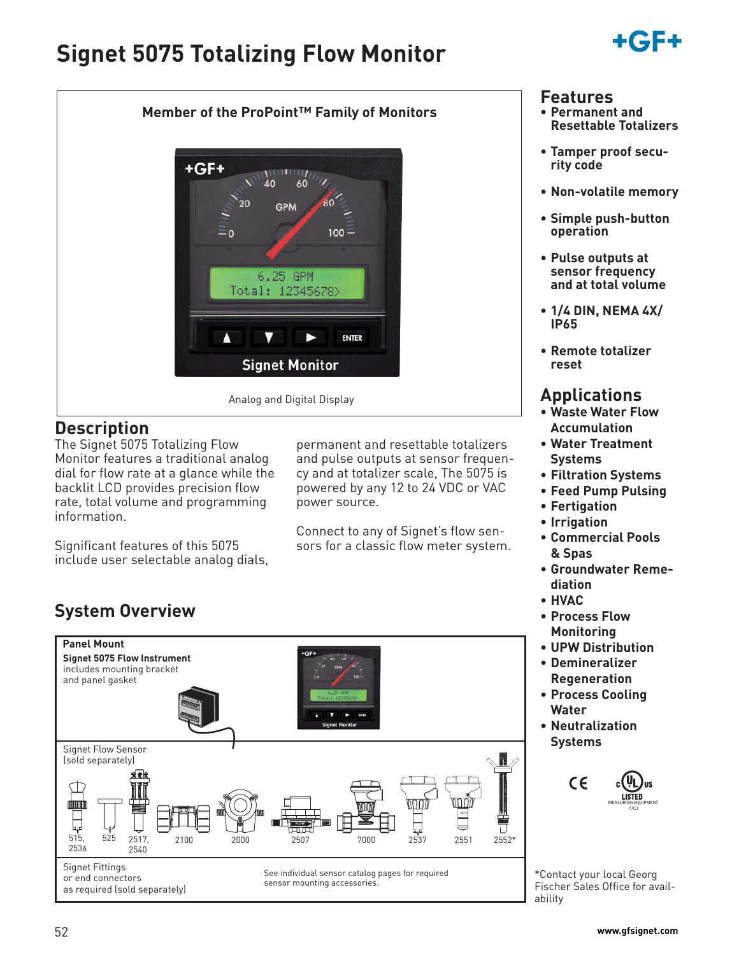# **Signet 5075 Totalizing Flow Monitor**





## **Description**

The Signet 5075 Totalizing Flow Monitor features a traditional analog dial for flow rate at a glance while the backlit LCD provides precision flow rate, total volume and programming information.

Significant features of this 5075 include user selectable analog dials,

permanent and resettable totalizers and pulse outputs at sensor frequency and at totalizer scale, The 5075 is powered by any 12 to 24 VDC or VAC power source.

Connect to any of Signet's flow sensors for a classic flow meter system.

# **System Overview**



or end connectors

as required (sold separately)

See individual sensor catalog pages for required sensor mounting accessories.

### **Features**

- **Permanent and Resettable Totalizers**
- **Tamper proof security code**
- **Non-volatile memory**
- **Simple push-button operation**
- **Pulse outputs at sensor frequency and at total volume**
- **1/4 DIN, NEMA 4X/ IP65**
- **Remote totalizer reset**

# **Applications**

- **Waste Water Flow Accumulation**
- **Water Treatment Systems**
- **Filtration Systems**
- **Feed Pump Pulsing**
- **Fertigation**
- **Irrigation**
- **Commercial Pools & Spas**
- **Groundwater Remediation**
- **HVAC**
- **Process Flow Monitoring**
- **UPW Distribution**
- **Demineralizer Regeneration**
- **Process Cooling Water**
- **Neutralization Systems**



\*Contact your local Georg Fischer Sales Office for availability